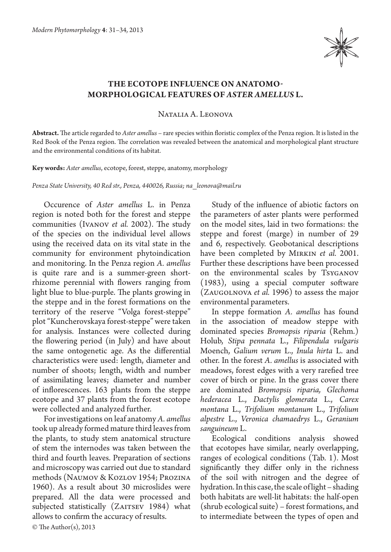

## **The ecotope influence on anatomomorphological features of** *Aster amellus* **L.**

Natalia A. Leonova

**Abstract.** The article regarded to *Aster amellus* – rare species within floristic complex of the Penza region. It is listed in the Red Book of the Penza region. The correlation was revealed between the anatomical and morphological plant structure and the environmental conditions of its habitat.

**Key words:** *Aster amellus*, ecotope, forest, steppe, anatomy, morphology

*Penza State University, 40 Red str., Penza, 440026, Russia; na\_leonova@mail.ru*

Occurence of *Aster amellus* L. in Penza region is noted both for the forest and steppe communities (Ivanov *et al.* 2002). The study of the species on the individual level allows using the received data on its vital state in the community for environment phytoindication and monitoring. In the Penza region *A. amellus*  is quite rare and is a summer-green shortrhizome perennial with flowers ranging from light blue to blue-purple. The plants growing in the steppe and in the forest formations on the territory of the reserve "Volga forest-steppe" plot "Kuncherovskaya forest-steppe" were taken for analysis. Instances were collected during the flowering period (in July) and have about the same ontogenetic age. As the differential characteristics were used: length, diameter and number of shoots; length, width and number of assimilating leaves; diameter and number of inflorescences. 163 plants from the steppe ecotope and 37 plants from the forest ecotope were collected and analyzed further.

For investigations on leaf anatomy *A. amellus* took up already formed mature third leaves from the plants, to study stem anatomical structure of stem the internodes was taken between the third and fourth leaves. Preparation of sections and microscopy was carried out due to standard methods (Naumov & Kozlov 1954; Prozina 1960). As a result about 30 microslides were prepared. All the data were processed and subjected statistically (ZAITSEV 1984) what allows to confirm the accuracy of results.

Study of the influence of abiotic factors on the parameters of aster plants were performed on the model sites, laid in two formations: the steppe and forest (marge) in number of 29 and 6, respectively. Geobotanical descriptions have been completed by Mirkin *et al.* 2001. Further these descriptions have been processed on the environmental scales by Tsyganov (1983), using a special computer software (Zaugolnova *et al.* 1996) to assess the major environmental parameters.

In steppe formation *A. amellus* has found in the association of meadow steppe with dominated species *Bromopsis riparia* (Rehm.) Holub, *Stipa pennata* L., *Filipendula vulgaris*  Moench, *Galium verum* L., *Inula hirta* L. and other. In the forest *A. amellus* is associated with meadows, forest edges with a very rarefied tree cover of birch or pine. In the grass cover there are dominated *Bromopsis riparia, Glechoma hederacea* L., *Dactylis glomerata* L., *Carex montana* L., *Trifolium montanum* L., *Trifolium alpestre* L., *Veronica chamaedrys* L., *Geranium sanguineum* L.

Ecological conditions analysis showed that ecotopes have similar, nearly overlapping, ranges of ecological conditions (Tab. 1). Most significantly they differ only in the richness of the soil with nitrogen and the degree of hydration. In this case, the scale of light – shading both habitats are well-lit habitats: the half-open (shrub ecological suite) – forest formations, and to intermediate between the types of open and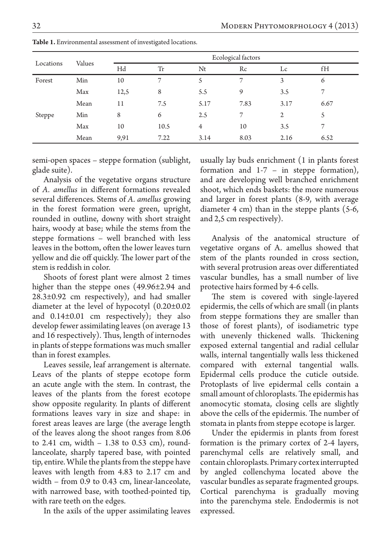| Locations | Values | Ecological factors |      |                |      |      |      |
|-----------|--------|--------------------|------|----------------|------|------|------|
|           |        | Hd                 | Tr   | Nt             | Rc   | Lc   | fH   |
| Forest    | Min    | 10                 | 7    | 5              | 7    | 3    | 6    |
|           | Max    | 12,5               | 8    | 5.5            | 9    | 3.5  | 7    |
|           | Mean   | 11                 | 7.5  | 5.17           | 7.83 | 3.17 | 6.67 |
| Steppe    | Min    | 8                  | 6    | 2.5            | 7    | 2    | 5    |
|           | Max    | 10                 | 10.5 | $\overline{4}$ | 10   | 3.5  | 7    |
|           | Mean   | 9,91               | 7.22 | 3.14           | 8.03 | 2.16 | 6.52 |

**Table 1.** Environmental assessment of investigated locations.

semi-open spaces – steppe formation (sublight, glade suite).

Analysis of the vegetative organs structure of *A. amellus* in different formations revealed several differences. Stems of *A. amellus* growing in the forest formation were green, upright, rounded in outline, downy with short straight hairs, woody at base; while the stems from the steppe formations – well branched with less leaves in the bottom, often the lower leaves turn yellow and die off quickly. The lower part of the stem is reddish in color.

Shoots of forest plant were almost 2 times higher than the steppe ones (49.96±2.94 and  $28.3\pm0.92$  cm respectively), and had smaller diameter at the level of hypocotyl (0.20±0.02 and 0.14±0.01 cm respectively); they also develop fewer assimilating leaves (on average 13 and 16 respectively). Thus, length of internodes in plants of steppe formations was much smaller than in forest examples.

Leaves sessile, leaf arrangement is alternate. Lеаvs of the plants of steppe ecotope form an acute angle with the stem. In contrast, the leaves of the plants from the forest ecotope show opposite regularity. In plants of different formations leaves vary in size and shape: in forest areas leaves are large (the average length of the leaves along the shoot ranges from 8.06 to 2.41 cm, width  $-1.38$  to 0.53 cm), roundlanceolate, sharply tapered base, with pointed tip, entire. While the plants from the steppe have leaves with length from 4.83 to 2.17 cm and width – from 0.9 to 0.43 cm, linear-lanceolate, with narrowed base, with toothed-pointed tip, with rare teeth on the edges.

In the axils of the upper assimilating leaves

usually lay buds enrichment (1 in plants forest formation and 1-7 – in steppe formation), and are developing well branched enrichment shoot, which ends baskets: the more numerous and larger in forest plants (8-9, with average diameter 4 cm) than in the steppe plants (5-6, and 2,5 cm respectively).

Analysis of the anatomical structure of vegetative organs of A. amellus showed that stem of the plants rounded in cross section, with several protrusion areas over differentiated vascular bundles, has a small number of live protective hairs formed by 4-6 cells.

The stem is covered with single-layered epidermis, the cells of which are small (in plants from steppe formations they are smaller than those of forest plants), of isodiametric type with unevenly thickened walls. Thickening exposed external tangential and radial cellular walls, internal tangentially walls less thickened compared with external tangential walls. Epidermal cells produce the cuticle outside. Protoplasts of live epidermal cells contain a small amount of chloroplasts. The epidermis has anomocytic stomata, closing cells are slightly above the cells of the epidermis. The number of stomata in plants from steppe ecotope is larger.

Under the epidermis in plants from forest formation is the primary cortex of 2-4 layers, parenchymal cells are relatively small, and contain chloroplasts. Primary cortex interrupted by angled collenchyma located above the vascular bundles as separate fragmented groups. Cortical parenchyma is gradually moving into the parenchyma stele. Endodermis is not expressed.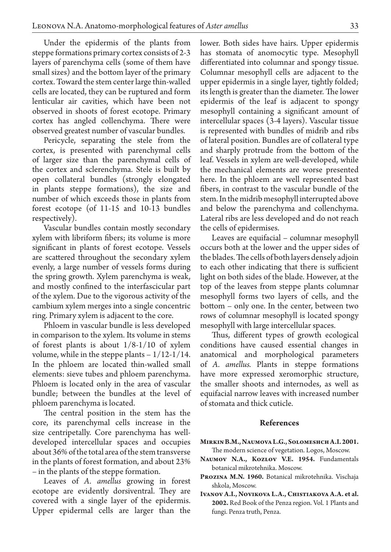Under the epidermis of the plants from steppe formations primary cortex consists of 2-3 layers of parenchyma cells (some of them have small sizes) and the bottom layer of the primary cortex. Toward the stem center large thin-walled cells are located, they can be ruptured and form lenticular air cavities, which have been not observed in shoots of forest ecotope. Primary cortex has angled collenchyma. There were observed greatest number of vascular bundles.

Pericycle, separating the stele from the cortex, is presented with parenchymal cells of larger size than the parenchymal cells of the cortex and sclerenchyma. Stele is built by open collateral bundles (strongly elongated in plants steppe formations), the size and number of which exceeds those in plants from forest ecotope (of 11-15 and 10-13 bundles respectively).

Vascular bundles contain mostly secondary xylem with libriform fibers; its volume is more significant in plants of forest ecotope. Vessels are scattered throughout the secondary xylem evenly, a large number of vessels forms during the spring growth. Xylem parenchyma is weak, and mostly confined to the interfascicular part of the xylem. Due to the vigorous activity of the cambium xylem merges into a single concentric ring. Primary xylem is adjacent to the core.

Phloem in vascular bundle is less developed in comparison to the xylem. Its volume in stems of forest plants is about 1/8-1/10 of xylem volume, while in the steppe plants  $-1/12-1/14$ . In the phloem are located thin-walled small elements: sieve tubes and phloem parenchyma. Phloem is located only in the area of vascular bundle; between the bundles at the level of phloem parenchyma is located.

The central position in the stem has the core, its parenchymal cells increase in the size centripetally. Core parenchyma has welldeveloped intercellular spaces and occupies about 36% of the total area of the stem transverse in the plants of forest formation, and about 23% – in the plants of the steppe formation.

Leaves of *A. amellus* growing in forest ecotope are evidently dorsiventral. They are covered with a single layer of the epidermis. Upper epidermal cells are larger than the

lower. Both sides have hairs. Upper epidermis has stomata of anomocytic type. Mesophyll differentiated into columnar and spongy tissue. Columnar mesophyll cells are adjacent to the upper epidermis in a single layer, tightly folded; its length is greater than the diameter. The lower epidermis of the leaf is adjacent to spongy mesophyll containing a significant amount of intercellular spaces (3-4 layers). Vascular tissue is represented with bundles of midrib and ribs of lateral position. Bundles are of collateral type and sharply protrude from the bottom of the leaf. Vessels in xylem are well-developed, while the mechanical elements are worse presented here. In the phloem are well represented bast fibers, in contrast to the vascular bundle of the stem. In the midrib mesophyll interrupted above and below the parenchyma and collenchyma. Lateral ribs are less developed and do not reach the cells of epidermises.

Leaves are equifacial – columnar mesophyll occurs both at the lower and the upper sides of the blades. The cells of both layers densely adjoin to each other indicating that there is sufficient light on both sides of the blade. However, at the top of the leaves from steppe plants columnar mesophyll forms two layers of cells, and the bottom – only one. In the center, between two rows of columnar mesophyll is located spongy mesophyll with large intercellular spaces.

Thus, different types of growth ecological conditions have caused essential changes in anatomical and morphological parameters of *A. amellus.* Plants in steppe formations have more expressed xeromorphic structure, the smaller shoots and internodes, as well as equifacial narrow leaves with increased number of stomata and thick cuticle.

## **References**

- **Mirkin B.M., Naumova L.G., Solomeshch A.I. 2001.** The modern science of vegetation. Logos, Moscow.
- **Naumov N.A., Kozlov V.E. 1954.** Fundamentals botanical mikrotehnika. Moscow.
- **Prozina M.N. 1960.** Botanical mikrotehnika. Vischaja shkola, Moscow.
- **Ivanov A.I., Novikova L.A., Chistiakova A.A. et al. 2002.** Red Book of the Penza region. Vol. 1 Plants and fungi. Penza truth, Penza.